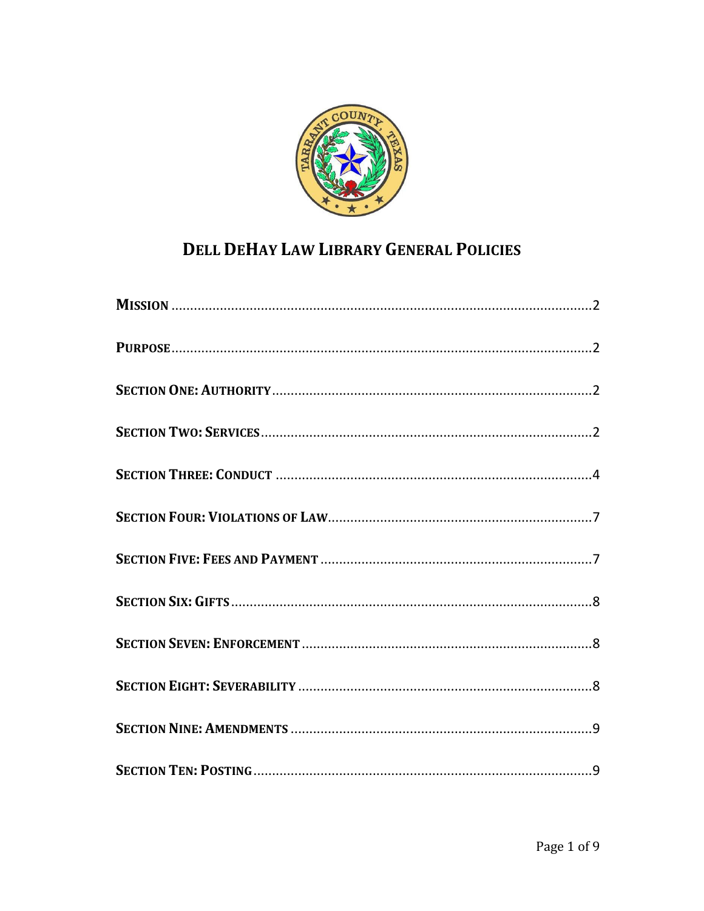

# **DELL DEHAY LAW LIBRARY GENERAL POLICIES**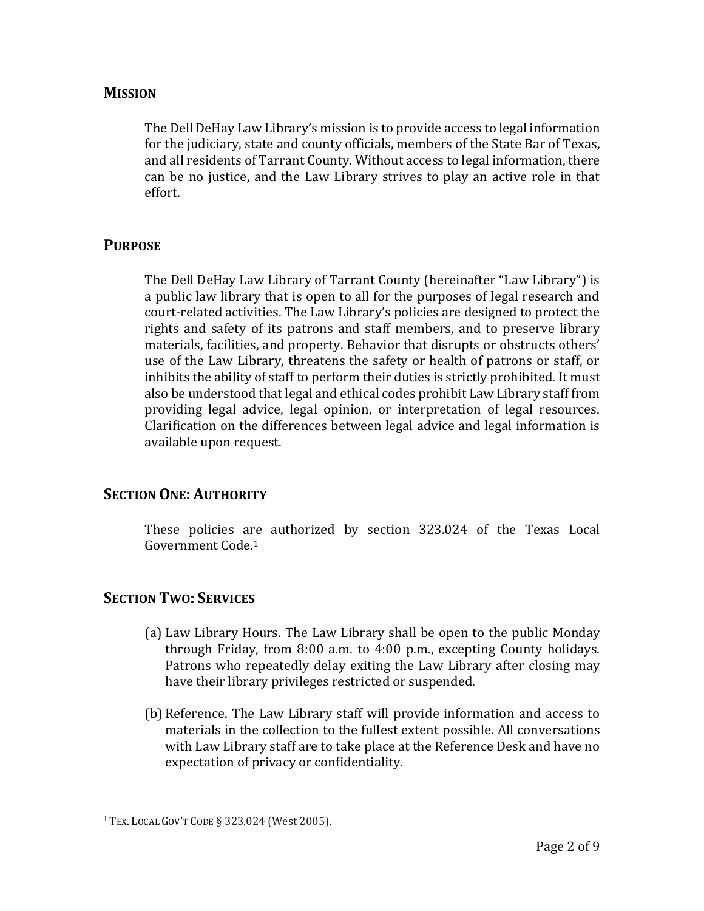#### <span id="page-1-0"></span>**MISSION**

The Dell DeHay Law Library's mission is to provide access to legal information for the judiciary, state and county officials, members of the State Bar of Texas, and all residents of Tarrant County. Without access to legal information, there can be no justice, and the Law Library strives to play an active role in that effort.

#### <span id="page-1-1"></span>**PURPOSE**

The Dell DeHay Law Library of Tarrant County (hereinafter "Law Library") is a public law library that is open to all for the purposes of legal research and court-related activities. The Law Library's policies are designed to protect the rights and safety of its patrons and staff members, and to preserve library materials, facilities, and property. Behavior that disrupts or obstructs others' use of the Law Library, threatens the safety or health of patrons or staff, or inhibits the ability of staff to perform their duties is strictly prohibited. It must also be understood that legal and ethical codes prohibit Law Library staff from providing legal advice, legal opinion, or interpretation of legal resources. Clarification on the differences between legal advice and legal information is available upon request.

#### <span id="page-1-2"></span>**SECTION ONE: AUTHORITY**

These policies are authorized by section 323.024 of the Texas Local Government Code.<sup>1</sup>

#### <span id="page-1-3"></span>**SECTION TWO: SERVICES**

- (a) Law Library Hours. The Law Library shall be open to the public Monday through Friday, from 8:00 a.m. to 4:00 p.m., excepting County holidays. Patrons who repeatedly delay exiting the Law Library after closing may have their library privileges restricted or suspended.
- (b) Reference. The Law Library staff will provide information and access to materials in the collection to the fullest extent possible. All conversations with Law Library staff are to take place at the Reference Desk and have no expectation of privacy or confidentiality.

 $\overline{\phantom{a}}$ 

<sup>1</sup> TEX. LOCAL GOV'T CODE § 323.024 (West 2005).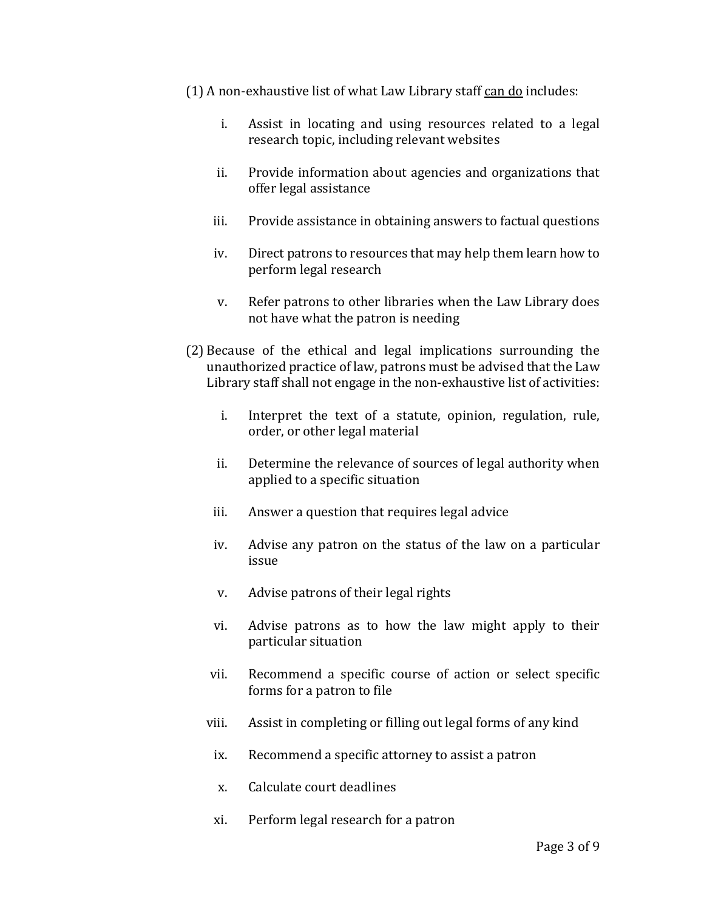- (1) A non-exhaustive list of what Law Library staff can do includes:
	- i. Assist in locating and using resources related to a legal research topic, including relevant websites
	- ii. Provide information about agencies and organizations that offer legal assistance
	- iii. Provide assistance in obtaining answers to factual questions
	- iv. Direct patrons to resources that may help them learn how to perform legal research
	- v. Refer patrons to other libraries when the Law Library does not have what the patron is needing
- (2) Because of the ethical and legal implications surrounding the unauthorized practice of law, patrons must be advised that the Law Library staff shall not engage in the non-exhaustive list of activities:
	- i. Interpret the text of a statute, opinion, regulation, rule, order, or other legal material
	- ii. Determine the relevance of sources of legal authority when applied to a specific situation
	- iii. Answer a question that requires legal advice
	- iv. Advise any patron on the status of the law on a particular issue
	- v. Advise patrons of their legal rights
	- vi. Advise patrons as to how the law might apply to their particular situation
	- vii. Recommend a specific course of action or select specific forms for a patron to file
	- viii. Assist in completing or filling out legal forms of any kind
	- ix. Recommend a specific attorney to assist a patron
	- x. Calculate court deadlines
	- xi. Perform legal research for a patron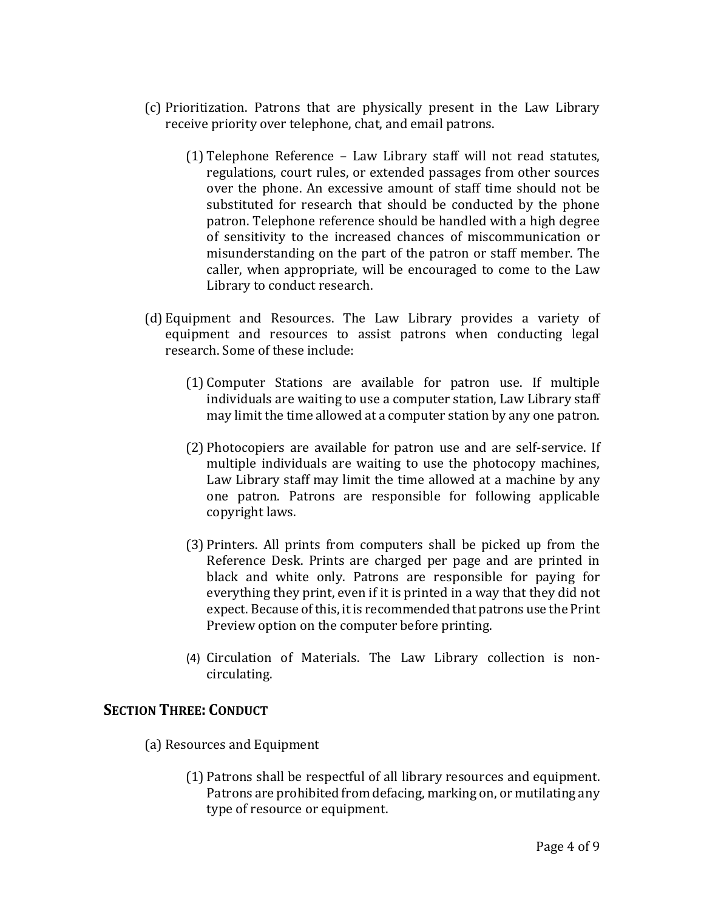- (c) Prioritization. Patrons that are physically present in the Law Library receive priority over telephone, chat, and email patrons.
	- (1) Telephone Reference Law Library staff will not read statutes, regulations, court rules, or extended passages from other sources over the phone. An excessive amount of staff time should not be substituted for research that should be conducted by the phone patron. Telephone reference should be handled with a high degree of sensitivity to the increased chances of miscommunication or misunderstanding on the part of the patron or staff member. The caller, when appropriate, will be encouraged to come to the Law Library to conduct research.
- (d) Equipment and Resources. The Law Library provides a variety of equipment and resources to assist patrons when conducting legal research. Some of these include:
	- (1) Computer Stations are available for patron use. If multiple individuals are waiting to use a computer station, Law Library staff may limit the time allowed at a computer station by any one patron.
	- (2) Photocopiers are available for patron use and are self-service. If multiple individuals are waiting to use the photocopy machines, Law Library staff may limit the time allowed at a machine by any one patron. Patrons are responsible for following applicable copyright laws.
	- (3) Printers. All prints from computers shall be picked up from the Reference Desk. Prints are charged per page and are printed in black and white only. Patrons are responsible for paying for everything they print, even if it is printed in a way that they did not expect. Because of this, it is recommended that patrons use the Print Preview option on the computer before printing.
	- (4) Circulation of Materials. The Law Library collection is noncirculating.

#### <span id="page-3-0"></span>**SECTION THREE: CONDUCT**

- (a) Resources and Equipment
	- (1) Patrons shall be respectful of all library resources and equipment. Patrons are prohibited from defacing, marking on, or mutilating any type of resource or equipment.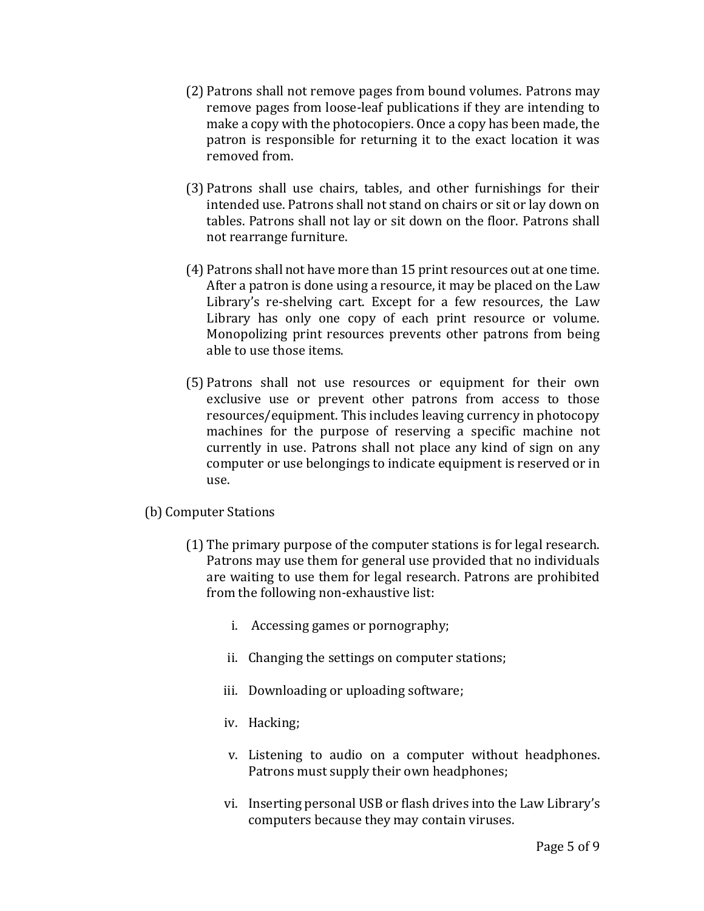- (2) Patrons shall not remove pages from bound volumes. Patrons may remove pages from loose-leaf publications if they are intending to make a copy with the photocopiers. Once a copy has been made, the patron is responsible for returning it to the exact location it was removed from.
- (3) Patrons shall use chairs, tables, and other furnishings for their intended use. Patrons shall not stand on chairs or sit or lay down on tables. Patrons shall not lay or sit down on the floor. Patrons shall not rearrange furniture.
- (4) Patrons shall not have more than 15 print resources out at one time. After a patron is done using a resource, it may be placed on the Law Library's re-shelving cart. Except for a few resources, the Law Library has only one copy of each print resource or volume. Monopolizing print resources prevents other patrons from being able to use those items.
- (5) Patrons shall not use resources or equipment for their own exclusive use or prevent other patrons from access to those resources/equipment. This includes leaving currency in photocopy machines for the purpose of reserving a specific machine not currently in use. Patrons shall not place any kind of sign on any computer or use belongings to indicate equipment is reserved or in use.
- (b) Computer Stations
	- (1) The primary purpose of the computer stations is for legal research. Patrons may use them for general use provided that no individuals are waiting to use them for legal research. Patrons are prohibited from the following non-exhaustive list:
		- i. Accessing games or pornography;
		- ii. Changing the settings on computer stations;
		- iii. Downloading or uploading software;
		- iv. Hacking;
		- v. Listening to audio on a computer without headphones. Patrons must supply their own headphones;
		- vi. Inserting personal USB or flash drives into the Law Library's computers because they may contain viruses.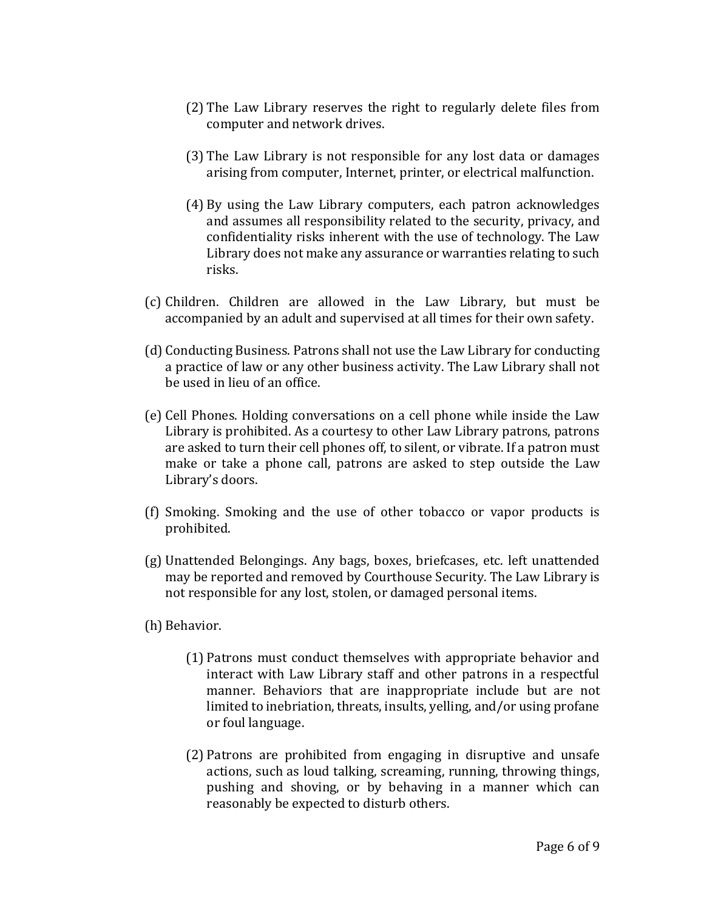- (2) The Law Library reserves the right to regularly delete files from computer and network drives.
- (3) The Law Library is not responsible for any lost data or damages arising from computer, Internet, printer, or electrical malfunction.
- (4) By using the Law Library computers, each patron acknowledges and assumes all responsibility related to the security, privacy, and confidentiality risks inherent with the use of technology. The Law Library does not make any assurance or warranties relating to such risks.
- (c) Children. Children are allowed in the Law Library, but must be accompanied by an adult and supervised at all times for their own safety.
- (d) Conducting Business. Patrons shall not use the Law Library for conducting a practice of law or any other business activity. The Law Library shall not be used in lieu of an office.
- (e) Cell Phones. Holding conversations on a cell phone while inside the Law Library is prohibited. As a courtesy to other Law Library patrons, patrons are asked to turn their cell phones off, to silent, or vibrate. If a patron must make or take a phone call, patrons are asked to step outside the Law Library's doors.
- (f) Smoking. Smoking and the use of other tobacco or vapor products is prohibited.
- (g) Unattended Belongings. Any bags, boxes, briefcases, etc. left unattended may be reported and removed by Courthouse Security. The Law Library is not responsible for any lost, stolen, or damaged personal items.
- (h) Behavior.
	- (1) Patrons must conduct themselves with appropriate behavior and interact with Law Library staff and other patrons in a respectful manner. Behaviors that are inappropriate include but are not limited to inebriation, threats, insults, yelling, and/or using profane or foul language.
	- (2) Patrons are prohibited from engaging in disruptive and unsafe actions, such as loud talking, screaming, running, throwing things, pushing and shoving, or by behaving in a manner which can reasonably be expected to disturb others.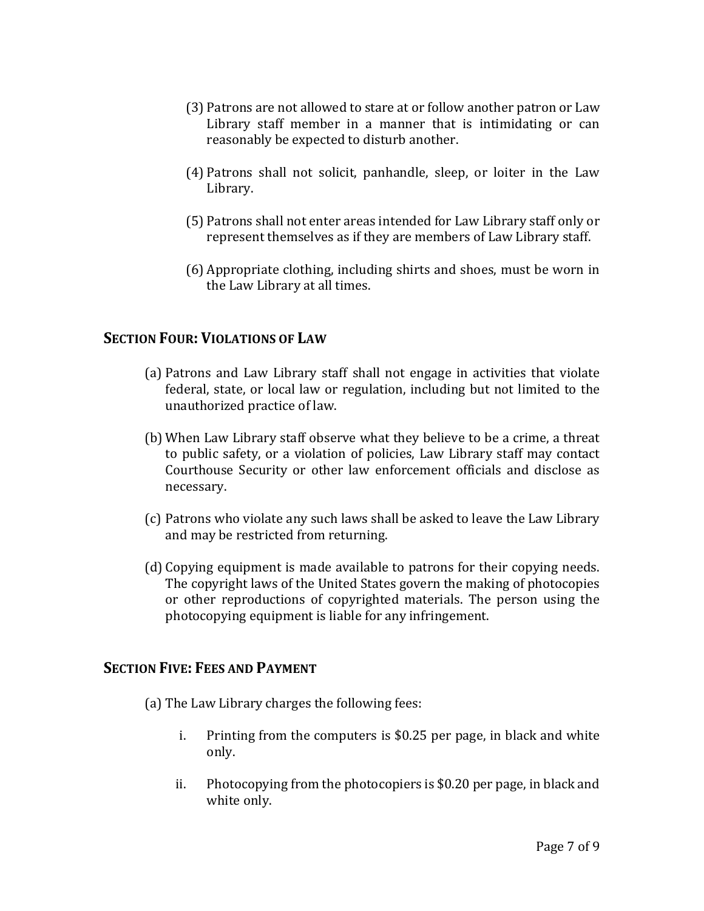- (3) Patrons are not allowed to stare at or follow another patron or Law Library staff member in a manner that is intimidating or can reasonably be expected to disturb another.
- (4) Patrons shall not solicit, panhandle, sleep, or loiter in the Law Library.
- (5) Patrons shall not enter areas intended for Law Library staff only or represent themselves as if they are members of Law Library staff.
- (6) Appropriate clothing, including shirts and shoes, must be worn in the Law Library at all times.

## <span id="page-6-0"></span>**SECTION FOUR: VIOLATIONS OF LAW**

- (a) Patrons and Law Library staff shall not engage in activities that violate federal, state, or local law or regulation, including but not limited to the unauthorized practice of law.
- (b) When Law Library staff observe what they believe to be a crime, a threat to public safety, or a violation of policies, Law Library staff may contact Courthouse Security or other law enforcement officials and disclose as necessary.
- (c) Patrons who violate any such laws shall be asked to leave the Law Library and may be restricted from returning.
- (d) Copying equipment is made available to patrons for their copying needs. The copyright laws of the United States govern the making of photocopies or other reproductions of copyrighted materials. The person using the photocopying equipment is liable for any infringement.

#### <span id="page-6-1"></span>**SECTION FIVE: FEES AND PAYMENT**

- (a) The Law Library charges the following fees:
	- i. Printing from the computers is \$0.25 per page, in black and white only.
	- ii. Photocopying from the photocopiers is \$0.20 per page, in black and white only.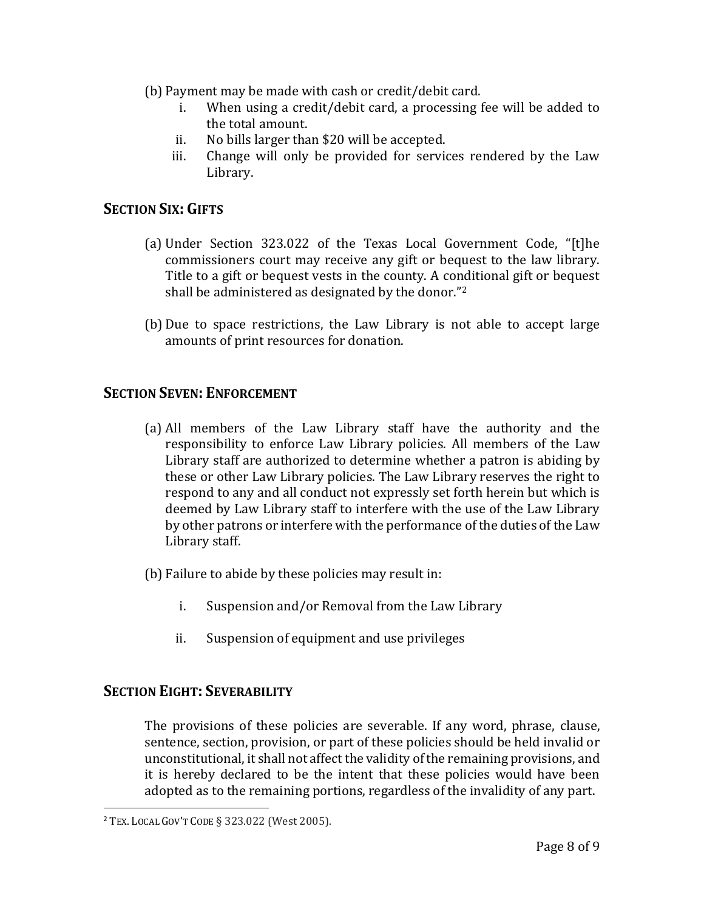- (b) Payment may be made with cash or credit/debit card.
	- i. When using a credit/debit card, a processing fee will be added to the total amount.
	- ii. No bills larger than \$20 will be accepted.
	- iii. Change will only be provided for services rendered by the Law Library.

#### <span id="page-7-0"></span>**SECTION SIX: GIFTS**

- (a) Under Section 323.022 of the Texas Local Government Code, "[t]he commissioners court may receive any gift or bequest to the law library. Title to a gift or bequest vests in the county. A conditional gift or bequest shall be administered as designated by the donor."<sup>2</sup>
- (b) Due to space restrictions, the Law Library is not able to accept large amounts of print resources for donation.

## <span id="page-7-1"></span>**SECTION SEVEN: ENFORCEMENT**

- (a) All members of the Law Library staff have the authority and the responsibility to enforce Law Library policies. All members of the Law Library staff are authorized to determine whether a patron is abiding by these or other Law Library policies. The Law Library reserves the right to respond to any and all conduct not expressly set forth herein but which is deemed by Law Library staff to interfere with the use of the Law Library by other patrons or interfere with the performance of the duties of the Law Library staff.
- (b) Failure to abide by these policies may result in:
	- i. Suspension and/or Removal from the Law Library
	- ii. Suspension of equipment and use privileges

#### <span id="page-7-2"></span>**SECTION EIGHT: SEVERABILITY**

The provisions of these policies are severable. If any word, phrase, clause, sentence, section, provision, or part of these policies should be held invalid or unconstitutional, it shall not affect the validity of the remaining provisions, and it is hereby declared to be the intent that these policies would have been adopted as to the remaining portions, regardless of the invalidity of any part.

 $\overline{\phantom{a}}$ 

<sup>2</sup> TEX. LOCAL GOV'T CODE § 323.022 (West 2005).